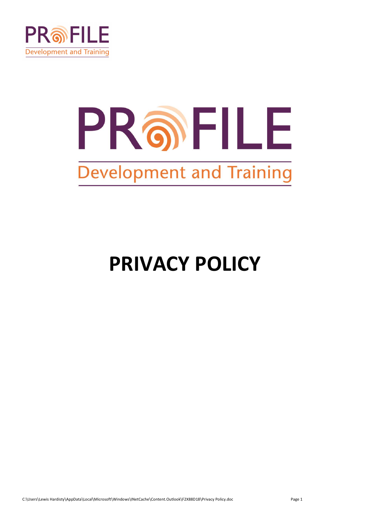

# PROFILE **Development and Training**

# **PRIVACY POLICY**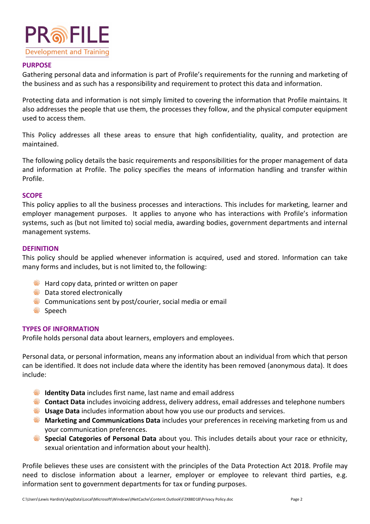

# **PURPOSE**

Gathering personal data and information is part of Profile's requirements for the running and marketing of the business and as such has a responsibility and requirement to protect this data and information.

Protecting data and information is not simply limited to covering the information that Profile maintains. It also addresses the people that use them, the processes they follow, and the physical computer equipment used to access them.

This Policy addresses all these areas to ensure that high confidentiality, quality, and protection are maintained.

The following policy details the basic requirements and responsibilities for the proper management of data and information at Profile. The policy specifies the means of information handling and transfer within Profile.

#### **SCOPE**

This policy applies to all the business processes and interactions. This includes for marketing, learner and employer management purposes. It applies to anyone who has interactions with Profile's information systems, such as (but not limited to) social media, awarding bodies, government departments and internal management systems.

#### **DEFINITION**

This policy should be applied whenever information is acquired, used and stored. Information can take many forms and includes, but is not limited to, the following:

- **The Hard copy data, printed or written on paper**
- **The Data stored electronically**
- **Communications sent by post/courier, social media or email**
- <u>ෙ</u> Speech

# **TYPES OF INFORMATION**

Profile holds personal data about learners, employers and employees.

Personal data, or personal information, means any information about an individual from which that person can be identified. It does not include data where the identity has been removed (anonymous data). It does include:

- **Identity Data** includes first name, last name and email address
- **Contact Data** includes invoicing address, delivery address, email addresses and telephone numbers
- **The Usage Data** includes information about how you use our products and services.
- **Marketing and Communications Data** includes your preferences in receiving marketing from us and your communication preferences.
- **Special Categories of Personal Data** about you. This includes details about your race or ethnicity, sexual orientation and information about your health).

Profile believes these uses are consistent with the principles of the Data Protection Act 2018. Profile may need to disclose information about a learner, employer or employee to relevant third parties, e.g. information sent to government departments for tax or funding purposes.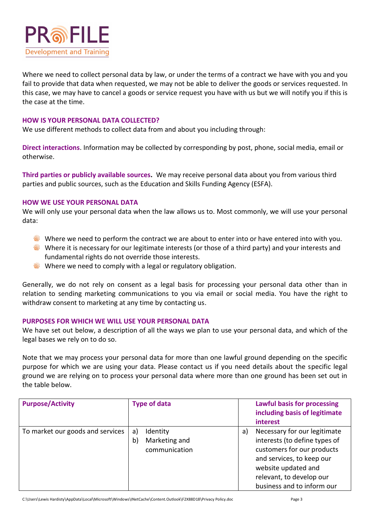

Where we need to collect personal data by law, or under the terms of a contract we have with you and you fail to provide that data when requested, we may not be able to deliver the goods or services requested. In this case, we may have to cancel a goods or service request you have with us but we will notify you if this is the case at the time.

### **HOW IS YOUR PERSONAL DATA COLLECTED?**

We use different methods to collect data from and about you including through:

**Direct interactions**. Information may be collected by corresponding by post, phone, social media, email or otherwise.

**Third parties or publicly available sources.** We may receive personal data about you from various third parties and public sources, such as the Education and Skills Funding Agency (ESFA).

# **HOW WE USE YOUR PERSONAL DATA**

We will only use your personal data when the law allows us to. Most commonly, we will use your personal data:

- Where we need to perform the contract we are about to enter into or have entered into with you.
- **The Video is the interest of the set of a third party**) and your interests and vour interests and fundamental rights do not override those interests.
- **Where we need to comply with a legal or regulatory obligation.**

Generally, we do not rely on consent as a legal basis for processing your personal data other than in relation to sending marketing communications to you via email or social media. You have the right to withdraw consent to marketing at any time by contacting us.

# **PURPOSES FOR WHICH WE WILL USE YOUR PERSONAL DATA**

We have set out below, a description of all the ways we plan to use your personal data, and which of the legal bases we rely on to do so.

Note that we may process your personal data for more than one lawful ground depending on the specific purpose for which we are using your data. Please contact us if you need details about the specific legal ground we are relying on to process your personal data where more than one ground has been set out in the table below.

| <b>Purpose/Activity</b>          | <b>Type of data</b>                                    | <b>Lawful basis for processing</b><br>including basis of legitimate<br>interest                                                                                                                                 |
|----------------------------------|--------------------------------------------------------|-----------------------------------------------------------------------------------------------------------------------------------------------------------------------------------------------------------------|
| To market our goods and services | Identity<br>a)<br>b)<br>Marketing and<br>communication | Necessary for our legitimate<br>a)<br>interests (to define types of<br>customers for our products<br>and services, to keep our<br>website updated and<br>relevant, to develop our<br>business and to inform our |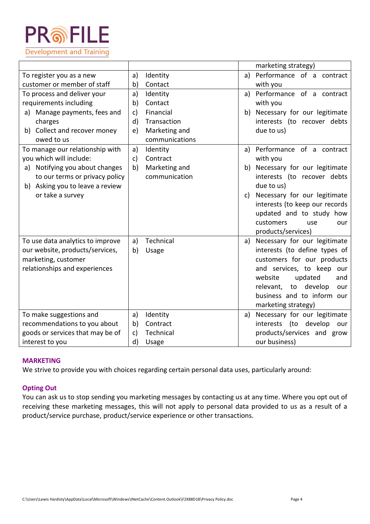

|                                   |              |                |    | marketing strategy)               |
|-----------------------------------|--------------|----------------|----|-----------------------------------|
| To register you as a new          | a)           | Identity       |    | a) Performance of a contract      |
| customer or member of staff       | b)           | Contact        |    | with you                          |
| To process and deliver your       | a)           | Identity       |    | a) Performance of a contract      |
| requirements including            | b)           | Contact        |    | with you                          |
| a) Manage payments, fees and      | c)           | Financial      | b) | Necessary for our legitimate      |
| charges                           | d)           | Transaction    |    | interests (to recover debts       |
| b) Collect and recover money      | e)           | Marketing and  |    | due to us)                        |
| owed to us                        |              | communications |    |                                   |
| To manage our relationship with   | a)           | Identity       |    | a) Performance of a contract      |
| you which will include:           | $\mathsf{c}$ | Contract       |    | with you                          |
| Notifying you about changes<br>a) | b)           | Marketing and  |    | b) Necessary for our legitimate   |
| to our terms or privacy policy    |              | communication  |    | interests (to recover debts       |
| b) Asking you to leave a review   |              |                |    | due to us)                        |
| or take a survey                  |              |                | C) | Necessary for our legitimate      |
|                                   |              |                |    | interests (to keep our records    |
|                                   |              |                |    | updated and to study how          |
|                                   |              |                |    | customers<br>use<br>our           |
|                                   |              |                |    | products/services)                |
| To use data analytics to improve  | a)           | Technical      | a) | Necessary for our legitimate      |
| our website, products/services,   | b)           | Usage          |    | interests (to define types of     |
| marketing, customer               |              |                |    | customers for our products        |
| relationships and experiences     |              |                |    | and services, to keep our         |
|                                   |              |                |    | website<br>updated<br>and         |
|                                   |              |                |    | develop<br>relevant,<br>to<br>our |
|                                   |              |                |    | business and to inform our        |
|                                   |              |                |    | marketing strategy)               |
| To make suggestions and           | a)           | Identity       | a) | Necessary for our legitimate      |
| recommendations to you about      | b)           | Contract       |    | interests (to develop<br>our      |
| goods or services that may be of  | c)           | Technical      |    | products/services and grow        |
| interest to you                   | d)           | Usage          |    | our business)                     |

# **MARKETING**

We strive to provide you with choices regarding certain personal data uses, particularly around:

# **Opting Out**

You can ask us to stop sending you marketing messages by contacting us at any time. Where you opt out of receiving these marketing messages, this will not apply to personal data provided to us as a result of a product/service purchase, product/service experience or other transactions.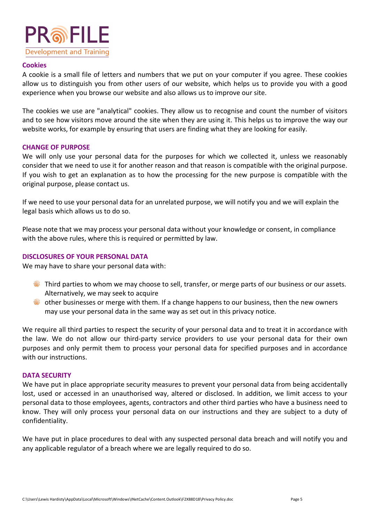

#### **Cookies**

A cookie is a small file of letters and numbers that we put on your computer if you agree. These cookies allow us to distinguish you from other users of our website, which helps us to provide you with a good experience when you browse our website and also allows us to improve our site.

The cookies we use are "analytical" cookies. They allow us to recognise and count the number of visitors and to see how visitors move around the site when they are using it. This helps us to improve the way our website works, for example by ensuring that users are finding what they are looking for easily.

#### **CHANGE OF PURPOSE**

We will only use your personal data for the purposes for which we collected it, unless we reasonably consider that we need to use it for another reason and that reason is compatible with the original purpose. If you wish to get an explanation as to how the processing for the new purpose is compatible with the original purpose, please contact us.

If we need to use your personal data for an unrelated purpose, we will notify you and we will explain the legal basis which allows us to do so.

Please note that we may process your personal data without your knowledge or consent, in compliance with the above rules, where this is required or permitted by law.

#### **DISCLOSURES OF YOUR PERSONAL DATA**

We may have to share your personal data with:

- **Third parties to whom we may choose to sell, transfer, or merge parts of our business or our assets.** Alternatively, we may seek to acquire
- other businesses or merge with them. If a change happens to our business, then the new owners may use your personal data in the same way as set out in this privacy notice.

We require all third parties to respect the security of your personal data and to treat it in accordance with the law. We do not allow our third-party service providers to use your personal data for their own purposes and only permit them to process your personal data for specified purposes and in accordance with our instructions.

#### **DATA SECURITY**

We have put in place appropriate security measures to prevent your personal data from being accidentally lost, used or accessed in an unauthorised way, altered or disclosed. In addition, we limit access to your personal data to those employees, agents, contractors and other third parties who have a business need to know. They will only process your personal data on our instructions and they are subject to a duty of confidentiality.

We have put in place procedures to deal with any suspected personal data breach and will notify you and any applicable regulator of a breach where we are legally required to do so.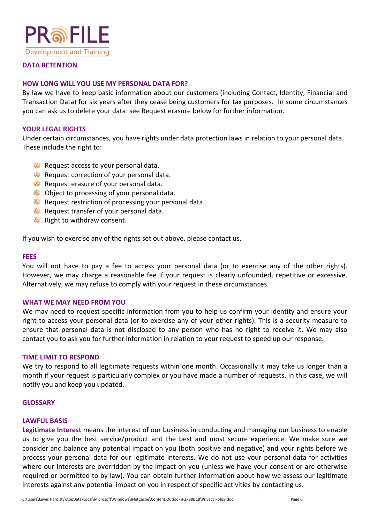

#### **DATA RETENTION**

# **HOW LONG WILL YOU USE MY PERSONAL DATA FOR?**

By law we have to keep basic information about our customers (including Contact, Identity, Financial and Transaction Data) for six years after they cease being customers for tax purposes. In some circumstances you can ask us to delete your data: see Request erasure below for further information.

#### **YOUR LEGAL RIGHTS**

Under certain circumstances, you have rights under data protection laws in relation to your personal data. These include the right to:

- **Request access to your personal data.**
- Request correction of your personal data.
- Request erasure of your personal data.
- **Object to processing of your personal data.**
- Request restriction of processing your personal data.
- Request transfer of your personal data.
- **Right to withdraw consent.**

If you wish to exercise any of the rights set out above, please contact us.

#### **FEES**

You will not have to pay a fee to access your personal data (or to exercise any of the other rights). However, we may charge a reasonable fee if your request is clearly unfounded, repetitive or excessive. Alternatively, we may refuse to comply with your request in these circumstances.

#### **WHAT WE MAY NEED FROM YOU**

We may need to request specific information from you to help us confirm your identity and ensure your right to access your personal data (or to exercise any of your other rights). This is a security measure to ensure that personal data is not disclosed to any person who has no right to receive it. We may also contact you to ask you for further information in relation to your request to speed up our response.

#### **TIME LIMIT TO RESPOND**

We try to respond to all legitimate requests within one month. Occasionally it may take us longer than a month if your request is particularly complex or you have made a number of requests. In this case, we will notify you and keep you updated.

#### **GLOSSARY**

#### **LAWFUL BASIS**

**Legitimate Interest** means the interest of our business in conducting and managing our business to enable us to give you the best service/product and the best and most secure experience. We make sure we consider and balance any potential impact on you (both positive and negative) and your rights before we process your personal data for our legitimate interests. We do not use your personal data for activities where our interests are overridden by the impact on you (unless we have your consent or are otherwise required or permitted to by law). You can obtain further information about how we assess our legitimate interests against any potential impact on you in respect of specific activities by contacting us.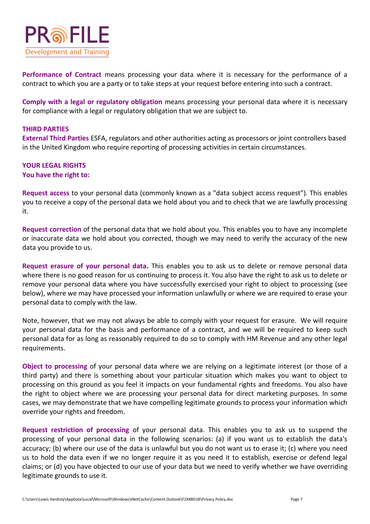

**Performance of Contract** means processing your data where it is necessary for the performance of a contract to which you are a party or to take steps at your request before entering into such a contract.

**Comply with a legal or regulatory obligation** means processing your personal data where it is necessary for compliance with a legal or regulatory obligation that we are subject to.

#### **THIRD PARTIES**

**External Third Parties** ESFA, regulators and other authorities acting as processors or joint controllers based in the United Kingdom who require reporting of processing activities in certain circumstances.

# **YOUR LEGAL RIGHTS You have the right to:**

**Request access** to your personal data (commonly known as a "data subject access request"). This enables you to receive a copy of the personal data we hold about you and to check that we are lawfully processing it.

**Request correction** of the personal data that we hold about you. This enables you to have any incomplete or inaccurate data we hold about you corrected, though we may need to verify the accuracy of the new data you provide to us.

**Request erasure of your personal data.** This enables you to ask us to delete or remove personal data where there is no good reason for us continuing to process it. You also have the right to ask us to delete or remove your personal data where you have successfully exercised your right to object to processing (see below), where we may have processed your information unlawfully or where we are required to erase your personal data to comply with the law.

Note, however, that we may not always be able to comply with your request for erasure. We will require your personal data for the basis and performance of a contract, and we will be required to keep such personal data for as long as reasonably required to do so to comply with HM Revenue and any other legal requirements.

**Object to processing** of your personal data where we are relying on a legitimate interest (or those of a third party) and there is something about your particular situation which makes you want to object to processing on this ground as you feel it impacts on your fundamental rights and freedoms. You also have the right to object where we are processing your personal data for direct marketing purposes. In some cases, we may demonstrate that we have compelling legitimate grounds to process your information which override your rights and freedom.

**Request restriction of processing** of your personal data. This enables you to ask us to suspend the processing of your personal data in the following scenarios: (a) if you want us to establish the data's accuracy; (b) where our use of the data is unlawful but you do not want us to erase it; (c) where you need us to hold the data even if we no longer require it as you need it to establish, exercise or defend legal claims; or (d) you have objected to our use of your data but we need to verify whether we have overriding legitimate grounds to use it.